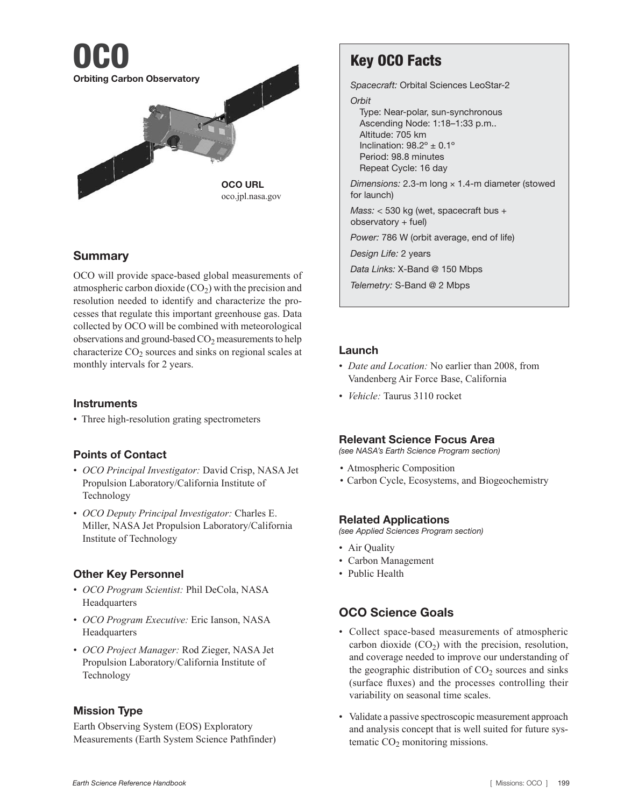

## Summary

OCO will provide space-based global measurements of atmospheric carbon dioxide  $(CO<sub>2</sub>)$  with the precision and resolution needed to identify and characterize the processes that regulate this important greenhouse gas. Data collected by OCO will be combined with meteorological observations and ground-based  $CO<sub>2</sub>$  measurements to help characterize  $CO<sub>2</sub>$  sources and sinks on regional scales at monthly intervals for 2 years.

#### **Instruments**

• Three high-resolution grating spectrometers

#### Points of Contact

- *OCO Principal Investigator:* David Crisp, NASA Jet Propulsion Laboratory/California Institute of Technology
- *OCO Deputy Principal Investigator:* Charles E. Miller, NASA Jet Propulsion Laboratory/California Institute of Technology

#### Other Key Personnel

- *OCO Program Scientist:* Phil DeCola, NASA **Headquarters**
- *OCO Program Executive:* Eric Ianson, NASA Headquarters
- *OCO Project Manager:* Rod Zieger, NASA Jet Propulsion Laboratory/California Institute of Technology

#### Mission Type

Earth Observing System (EOS) Exploratory Measurements (Earth System Science Pathfinder)

# Key OCO Facts

*Spacecraft:* Orbital Sciences LeoStar-2 *Orbit* Type: Near-polar, sun-synchronous Ascending Node: 1:18–1:33 p.m.. Altitude: 705 km Inclination:  $98.2^\circ \pm 0.1^\circ$ Period: 98.8 minutes Repeat Cycle: 16 day *Dimensions:* 2.3-m long × 1.4-m diameter (stowed for launch) *Mass:* < 530 kg (wet, spacecraft bus + observatory + fuel) *Power:* 786 W (orbit average, end of life) *Design Life:* 2 years *Data Links:* X-Band @ 150 Mbps *Telemetry:* S-Band @ 2 Mbps

#### Launch

- *Date and Location:* No earlier than 2008, from Vandenberg Air Force Base, California
- *Vehicle:* Taurus 3110 rocket

#### Relevant Science Focus Area

*(see NASA's Earth Science Program section)*

- Atmospheric Composition
- Carbon Cycle, Ecosystems, and Biogeochemistry

#### Related Applications

*(see Applied Sciences Program section)*

- Air Quality
- Carbon Management
- Public Health

# OCO Science Goals

- Collect space-based measurements of atmospheric carbon dioxide  $(CO<sub>2</sub>)$  with the precision, resolution, and coverage needed to improve our understanding of the geographic distribution of  $CO<sub>2</sub>$  sources and sinks (surface fluxes) and the processes controlling their variability on seasonal time scales.
- Validate a passive spectroscopic measurement approach and analysis concept that is well suited for future systematic  $CO<sub>2</sub>$  monitoring missions.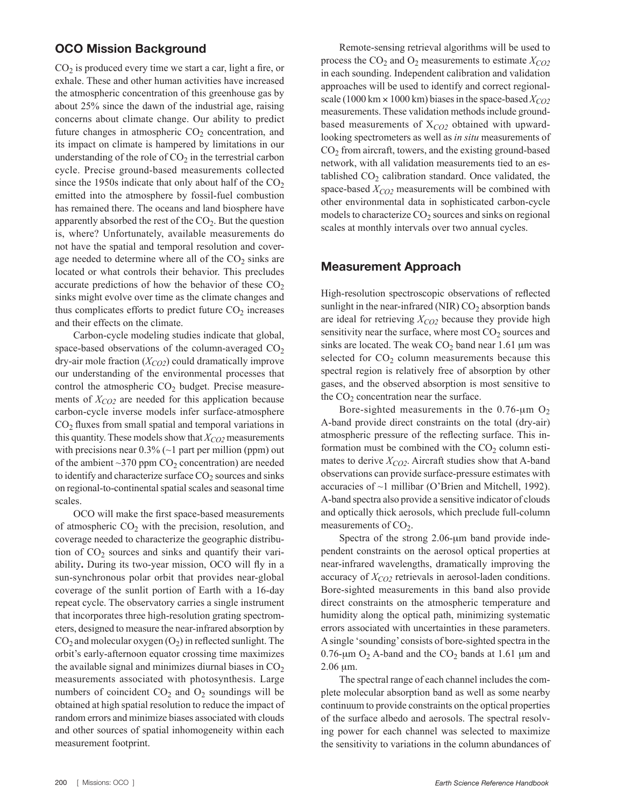#### OCO Mission Background

 $CO<sub>2</sub>$  is produced every time we start a car, light a fire, or exhale. These and other human activities have increased the atmospheric concentration of this greenhouse gas by about 25% since the dawn of the industrial age, raising concerns about climate change. Our ability to predict future changes in atmospheric  $CO<sub>2</sub>$  concentration, and its impact on climate is hampered by limitations in our understanding of the role of  $CO<sub>2</sub>$  in the terrestrial carbon cycle. Precise ground-based measurements collected since the 1950s indicate that only about half of the  $CO<sub>2</sub>$ emitted into the atmosphere by fossil-fuel combustion has remained there. The oceans and land biosphere have apparently absorbed the rest of the  $CO<sub>2</sub>$ . But the question is, where? Unfortunately, available measurements do not have the spatial and temporal resolution and coverage needed to determine where all of the  $CO<sub>2</sub>$  sinks are located or what controls their behavior. This precludes accurate predictions of how the behavior of these  $CO<sub>2</sub>$ sinks might evolve over time as the climate changes and thus complicates efforts to predict future  $CO<sub>2</sub>$  increases and their effects on the climate.

Carbon-cycle modeling studies indicate that global, space-based observations of the column-averaged  $CO<sub>2</sub>$ dry-air mole fraction  $(X_{CO2})$  could dramatically improve our understanding of the environmental processes that control the atmospheric  $CO<sub>2</sub>$  budget. Precise measurements of  $X_{CO2}$  are needed for this application because carbon-cycle inverse models infer surface-atmosphere CO2 fluxes from small spatial and temporal variations in this quantity. These models show that  $X_{CO2}$  measurements with precisions near  $0.3\%$  ( $\sim$ 1 part per million (ppm) out of the ambient  $\sim$ 370 ppm CO<sub>2</sub> concentration) are needed to identify and characterize surface  $CO<sub>2</sub>$  sources and sinks on regional-to-continental spatial scales and seasonal time scales.

OCO will make the first space-based measurements of atmospheric  $CO<sub>2</sub>$  with the precision, resolution, and coverage needed to characterize the geographic distribution of  $CO<sub>2</sub>$  sources and sinks and quantify their variability**.** During its two-year mission, OCO will fly in a sun-synchronous polar orbit that provides near-global coverage of the sunlit portion of Earth with a 16-day repeat cycle. The observatory carries a single instrument that incorporates three high-resolution grating spectrometers, designed to measure the near-infrared absorption by  $CO<sub>2</sub>$  and molecular oxygen  $(O<sub>2</sub>)$  in reflected sunlight. The orbit's early-afternoon equator crossing time maximizes the available signal and minimizes diurnal biases in  $CO<sub>2</sub>$ measurements associated with photosynthesis. Large numbers of coincident  $CO<sub>2</sub>$  and  $O<sub>2</sub>$  soundings will be obtained at high spatial resolution to reduce the impact of random errors and minimize biases associated with clouds and other sources of spatial inhomogeneity within each measurement footprint.

Remote-sensing retrieval algorithms will be used to process the  $CO_2$  and  $O_2$  measurements to estimate  $X_{CO2}$ in each sounding. Independent calibration and validation approaches will be used to identify and correct regionalscale (1000 km  $\times$  1000 km) biases in the space-based  $X_{CO2}$ measurements. These validation methods include groundbased measurements of X*CO2* obtained with upwardlooking spectrometers as well as *in situ* measurements of CO2 from aircraft, towers, and the existing ground-based network, with all validation measurements tied to an established  $CO<sub>2</sub>$  calibration standard. Once validated, the space-based  $X_{CO2}$  measurements will be combined with other environmental data in sophisticated carbon-cycle models to characterize  $CO<sub>2</sub>$  sources and sinks on regional scales at monthly intervals over two annual cycles.

#### Measurement Approach

High-resolution spectroscopic observations of reflected sunlight in the near-infrared (NIR)  $CO<sub>2</sub>$  absorption bands are ideal for retrieving  $X_{CO2}$  because they provide high sensitivity near the surface, where most  $CO<sub>2</sub>$  sources and sinks are located. The weak  $CO<sub>2</sub>$  band near 1.61 µm was selected for  $CO<sub>2</sub>$  column measurements because this spectral region is relatively free of absorption by other gases, and the observed absorption is most sensitive to the  $CO<sub>2</sub>$  concentration near the surface.

Bore-sighted measurements in the  $0.76$ - $\mu$ m O<sub>2</sub> A-band provide direct constraints on the total (dry-air) atmospheric pressure of the reflecting surface. This information must be combined with the  $CO<sub>2</sub>$  column estimates to derive  $X_{CO2}$ . Aircraft studies show that A-band observations can provide surface-pressure estimates with accuracies of ~1 millibar (O'Brien and Mitchell, 1992). A-band spectra also provide a sensitive indicator of clouds and optically thick aerosols, which preclude full-column measurements of  $CO<sub>2</sub>$ .

Spectra of the strong 2.06-μm band provide independent constraints on the aerosol optical properties at near-infrared wavelengths, dramatically improving the accuracy of  $X_{CO2}$  retrievals in aerosol-laden conditions. Bore-sighted measurements in this band also provide direct constraints on the atmospheric temperature and humidity along the optical path, minimizing systematic errors associated with uncertainties in these parameters. A single 'sounding' consists of bore-sighted spectra in the 0.76-μm  $O_2$  A-band and the CO<sub>2</sub> bands at 1.61 μm and 2.06 μm.

The spectral range of each channel includes the complete molecular absorption band as well as some nearby continuum to provide constraints on the optical properties of the surface albedo and aerosols. The spectral resolving power for each channel was selected to maximize the sensitivity to variations in the column abundances of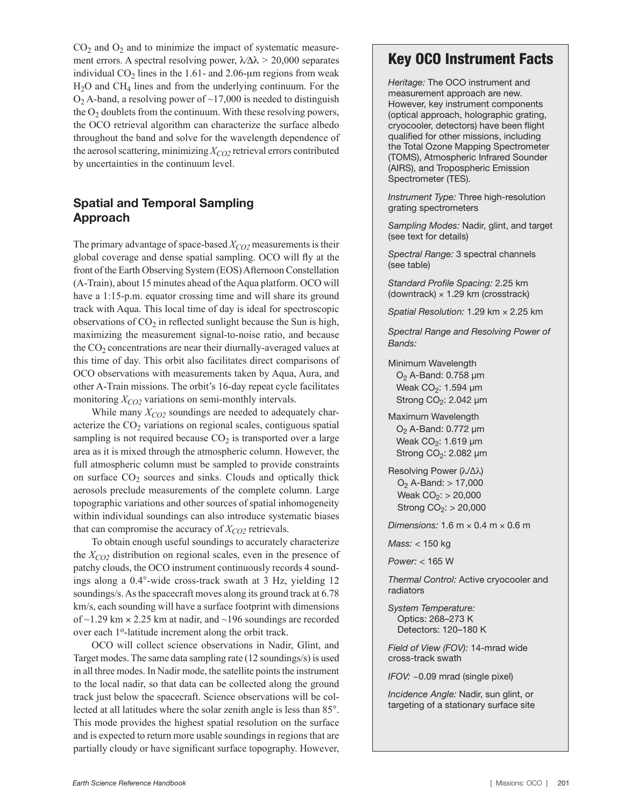$CO<sub>2</sub>$  and  $O<sub>2</sub>$  and to minimize the impact of systematic measurement errors. A spectral resolving power, λ⁄Δλ *>* 20,000 separates individual  $CO<sub>2</sub>$  lines in the 1.61- and 2.06-µm regions from weak H2O and CH4 lines and from the underlying continuum. For the  $O_2$  A-band, a resolving power of ~17,000 is needed to distinguish the  $O_2$  doublets from the continuum. With these resolving powers, the OCO retrieval algorithm can characterize the surface albedo throughout the band and solve for the wavelength dependence of the aerosol scattering, minimizing *X<sub>CO2</sub>* retrieval errors contributed by uncertainties in the continuum level.

### Spatial and Temporal Sampling Approach

The primary advantage of space-based  $X_{CO2}$  measurements is their global coverage and dense spatial sampling. OCO will fly at the front of the Earth Observing System (EOS) Afternoon Constellation (A-Train), about 15 minutes ahead of the Aqua platform. OCO will have a 1:15-p.m. equator crossing time and will share its ground track with Aqua. This local time of day is ideal for spectroscopic observations of  $CO<sub>2</sub>$  in reflected sunlight because the Sun is high, maximizing the measurement signal-to-noise ratio, and because the  $CO<sub>2</sub>$  concentrations are near their diurnally-averaged values at this time of day. This orbit also facilitates direct comparisons of OCO observations with measurements taken by Aqua, Aura, and other A-Train missions. The orbit's 16-day repeat cycle facilitates monitoring  $X_{CO2}$  variations on semi-monthly intervals.

While many  $X_{CO2}$  soundings are needed to adequately characterize the CO<sub>2</sub> variations on regional scales, contiguous spatial sampling is not required because  $CO<sub>2</sub>$  is transported over a large area as it is mixed through the atmospheric column. However, the full atmospheric column must be sampled to provide constraints on surface  $CO<sub>2</sub>$  sources and sinks. Clouds and optically thick aerosols preclude measurements of the complete column. Large topographic variations and other sources of spatial inhomogeneity within individual soundings can also introduce systematic biases that can compromise the accuracy of  $X_{CO2}$  retrievals.

To obtain enough useful soundings to accurately characterize the  $X_{CO2}$  distribution on regional scales, even in the presence of patchy clouds, the OCO instrument continuously records 4 soundings along a 0.4°-wide cross-track swath at 3 Hz, yielding 12 soundings/s. As the spacecraft moves along its ground track at 6.78 km/s, each sounding will have a surface footprint with dimensions of  $\sim$ 1.29 km  $\times$  2.25 km at nadir, and  $\sim$ 196 soundings are recorded over each 1<sup>o</sup>-latitude increment along the orbit track.

OCO will collect science observations in Nadir, Glint, and Target modes. The same data sampling rate (12 soundings/s) is used in all three modes. In Nadir mode, the satellite points the instrument to the local nadir, so that data can be collected along the ground track just below the spacecraft. Science observations will be collected at all latitudes where the solar zenith angle is less than 85°. This mode provides the highest spatial resolution on the surface and is expected to return more usable soundings in regions that are partially cloudy or have significant surface topography. However,

# Key OCO Instrument Facts

*Heritage:* The OCO instrument and measurement approach are new. However, key instrument components (optical approach, holographic grating, cryocooler, detectors) have been flight qualified for other missions, including the Total Ozone Mapping Spectrometer (TOMS), Atmospheric Infrared Sounder (AIRS), and Tropospheric Emission Spectrometer (TES).

*Instrument Type:* Three high-resolution grating spectrometers

*Sampling Modes:* Nadir, glint, and target (see text for details)

*Spectral Range:* 3 spectral channels (see table)

*Standard Profile Spacing:* 2.25 km (downtrack)  $\times$  1.29 km (crosstrack)

*Spatial Resolution:* 1.29 km × 2.25 km

*Spectral Range and Resolving Power of Bands:*

Minimum Wavelength  $O<sub>2</sub>$  A-Band: 0.758  $\mu$ m Weak  $CO<sub>2</sub>$ : 1.594 µm Strong  $CO<sub>2</sub>$ : 2.042 µm

Maximum Wavelength  $O<sub>2</sub>$  A-Band: 0.772  $\mu$ m Weak  $CO<sub>2</sub>$ : 1.619 µm Strong  $CO<sub>2</sub>$ : 2.082 µm

Resolving Power (λ/∆λ)  $O_2$  A-Band:  $> 17,000$ Weak  $CO_2$ :  $> 20,000$ Strong  $CO_2$ :  $> 20,000$ 

*Dimensions:* 1.6 m × 0.4 m × 0.6 m

*Mass:* < 150 kg

*Power:* < 165 W

*Thermal Control:* Active cryocooler and radiators

*System Temperature:* Optics: 268–273 K Detectors: 120–180 K

*Field of View (FOV):* 14-mrad wide cross-track swath

*IFOV:* ~0.09 mrad (single pixel)

*Incidence Angle:* Nadir, sun glint, or targeting of a stationary surface site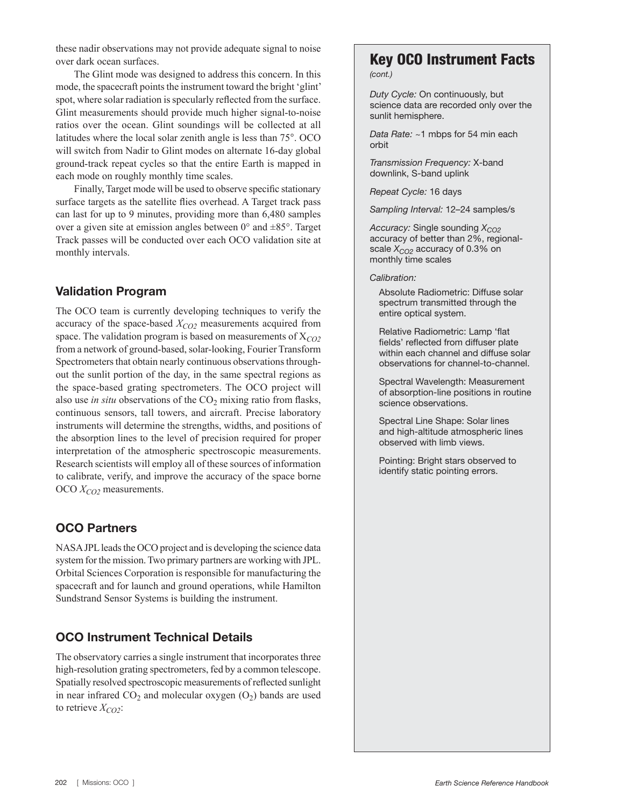these nadir observations may not provide adequate signal to noise over dark ocean surfaces.

The Glint mode was designed to address this concern. In this mode, the spacecraft points the instrument toward the bright 'glint' spot, where solar radiation is specularly reflected from the surface. Glint measurements should provide much higher signal-to-noise ratios over the ocean. Glint soundings will be collected at all latitudes where the local solar zenith angle is less than 75°. OCO will switch from Nadir to Glint modes on alternate 16-day global ground-track repeat cycles so that the entire Earth is mapped in each mode on roughly monthly time scales.

Finally, Target mode will be used to observe specific stationary surface targets as the satellite flies overhead. A Target track pass can last for up to 9 minutes, providing more than 6,480 samples over a given site at emission angles between 0° and ±85°. Target Track passes will be conducted over each OCO validation site at monthly intervals.

## Validation Program

The OCO team is currently developing techniques to verify the accuracy of the space-based *X<sub>CO2</sub>* measurements acquired from space. The validation program is based on measurements of X*CO2* from a network of ground-based, solar-looking, Fourier Transform Spectrometers that obtain nearly continuous observations throughout the sunlit portion of the day, in the same spectral regions as the space-based grating spectrometers. The OCO project will also use *in situ* observations of the  $CO<sub>2</sub>$  mixing ratio from flasks, continuous sensors, tall towers, and aircraft. Precise laboratory instruments will determine the strengths, widths, and positions of the absorption lines to the level of precision required for proper interpretation of the atmospheric spectroscopic measurements. Research scientists will employ all of these sources of information to calibrate, verify, and improve the accuracy of the space borne OCO  $X_{CO2}$  measurements.

## OCO Partners

NASA JPL leads the OCO project and is developing the science data system for the mission. Two primary partners are working with JPL. Orbital Sciences Corporation is responsible for manufacturing the spacecraft and for launch and ground operations, while Hamilton Sundstrand Sensor Systems is building the instrument.

# OCO Instrument Technical Details

The observatory carries a single instrument that incorporates three high-resolution grating spectrometers, fed by a common telescope. Spatially resolved spectroscopic measurements of reflected sunlight in near infrared  $CO<sub>2</sub>$  and molecular oxygen  $(O<sub>2</sub>)$  bands are used to retrieve  $X_{CO2}$ :

### Key OCO Instrument Facts *(cont.)*

*Duty Cycle:* On continuously, but science data are recorded only over the sunlit hemisphere.

*Data Rate:* ~1 mbps for 54 min each orbit

*Transmission Frequency:* X-band downlink, S-band uplink

*Repeat Cycle:* 16 days

*Sampling Interval:* 12–24 samples/s

*Accuracy: Single sounding X<sub>CO2</sub>* accuracy of better than 2%, regionalscale  $X_{CO2}$  accuracy of 0.3% on monthly time scales

*Calibration:*

Absolute Radiometric: Diffuse solar spectrum transmitted through the entire optical system.

Relative Radiometric: Lamp 'flat fields' reflected from diffuser plate within each channel and diffuse solar observations for channel-to-channel.

Spectral Wavelength: Measurement of absorption-line positions in routine science observations.

Spectral Line Shape: Solar lines and high-altitude atmospheric lines observed with limb views.

Pointing: Bright stars observed to identify static pointing errors.